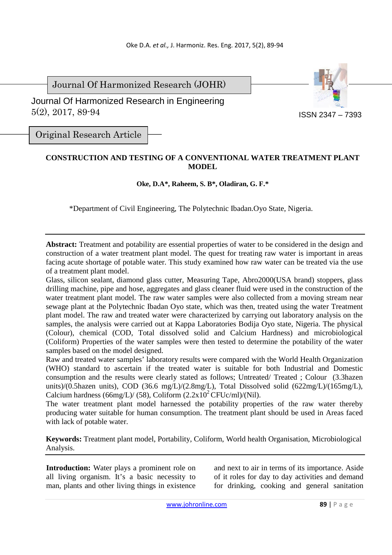Journal Of Harmonized Research (JOHR)

 Journal Of Harmonized Research in Engineering 5(2), 2017, 89-94



Original Research Article

## **CONSTRUCTION AND TESTING OF A CONVENTIONAL WATER TREATMENT PLANT MODEL**

## **Oke, D.A\*, Raheem, S. B\*, Oladiran, G. F.\***

\*Department of Civil Engineering, The Polytechnic Ibadan.Oyo State, Nigeria.

**Abstract:** Treatment and potability are essential properties of water to be considered in the design and construction of a water treatment plant model. The quest for treating raw water is important in areas facing acute shortage of potable water. This study examined how raw water can be treated via the use of a treatment plant model.

Glass, silicon sealant, diamond glass cutter, Measuring Tape, Abro2000(USA brand) stoppers, glass drilling machine, pipe and hose, aggregates and glass cleaner fluid were used in the construction of the water treatment plant model. The raw water samples were also collected from a moving stream near sewage plant at the Polytechnic Ibadan Oyo state, which was then, treated using the water Treatment plant model. The raw and treated water were characterized by carrying out laboratory analysis on the samples, the analysis were carried out at Kappa Laboratories Bodija Oyo state, Nigeria. The physical (Colour), chemical (COD, Total dissolved solid and Calcium Hardness) and microbiological (Coliform) Properties of the water samples were then tested to determine the potability of the water samples based on the model designed.

Raw and treated water samples' laboratory results were compared with the World Health Organization (WHO) standard to ascertain if the treated water is suitable for both Industrial and Domestic consumption and the results were clearly stated as follows; Untreated/ Treated ; Colour (3.3hazen units)/(0.5hazen units), COD (36.6 mg/L)/(2.8mg/L), Total Dissolved solid (622mg/L)/(165mg/L), Calcium hardness (66mg/L)/ (58), Coliform  $(2.2x10^2$ CFUc/ml)/(Nil).

The water treatment plant model harnessed the potability properties of the raw water thereby producing water suitable for human consumption. The treatment plant should be used in Areas faced with lack of potable water.

**Keywords:** Treatment plant model, Portability, Coliform, World health Organisation, Microbiological Analysis.

**Introduction:** Water plays a prominent role on all living organism. It's a basic necessity to man, plants and other living things in existence

and next to air in terms of its importance. Aside of it roles for day to day activities and demand for drinking, cooking and general sanitation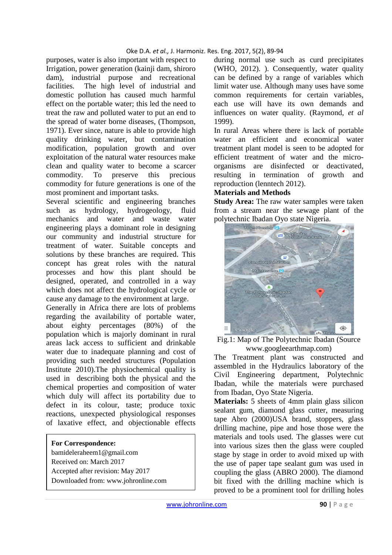### Oke D.A. *et al.,* J. Harmoniz. Res. Eng. 2017, 5(2), 89-94

purposes, water is also important with respect to Irrigation, power generation (kainji dam, shiroro dam), industrial purpose and recreational facilities. The high level of industrial and domestic pollution has caused much harmful effect on the portable water; this led the need to treat the raw and polluted water to put an end to the spread of water borne diseases, (Thompson, 1971). Ever since, nature is able to provide high quality drinking water, but contamination modification, population growth and over exploitation of the natural water resources make clean and quality water to become a scarcer commodity. To preserve this precious commodity for future generations is one of the most prominent and important tasks.

Several scientific and engineering branches such as hydrology, hydrogeology, fluid mechanics and water and waste water engineering plays a dominant role in designing our community and industrial structure for treatment of water. Suitable concepts and solutions by these branches are required. This concept has great roles with the natural processes and how this plant should be designed, operated, and controlled in a way which does not affect the hydrological cycle or cause any damage to the environment at large.

Generally in Africa there are lots of problems regarding the availability of portable water, about eighty percentages (80%) of the population which is majorly dominant in rural areas lack access to sufficient and drinkable water due to inadequate planning and cost of providing such needed structures (Population Institute 2010).The physiochemical quality is used in describing both the physical and the chemical properties and composition of water which duly will affect its portability due to defect in its colour, taste; produce toxic reactions, unexpected physiological responses of laxative effect, and objectionable effects

#### **For Correspondence:**

bamideleraheem1@gmail.com Received on: March 2017 Accepted after revision: May 2017 Downloaded from: www.johronline.com during normal use such as curd precipitates (WHO, 2012). ). Consequently, water quality can be defined by a range of variables which limit water use. Although many uses have some common requirements for certain variables, each use will have its own demands and influences on water quality. (Raymond, *et al* 1999).

In rural Areas where there is lack of portable water an efficient and economical water treatment plant model is seen to be adopted for efficient treatment of water and the microorganisms are disinfected or deactivated, resulting in termination of growth and reproduction (lenntech 2012).

### **Materials and Methods**

**Study Area:** The raw water samples were taken from a stream near the sewage plant of the polytechnic Ibadan Oyo state Nigeria.



Fig.1: Map of The Polytechnic Ibadan (Source www.googleearthmap.com)

The Treatment plant was constructed and assembled in the Hydraulics laboratory of the Civil Engineering department, Polytechnic Ibadan, while the materials were purchased from Ibadan, Oyo State Nigeria.

**Materials:** 5 sheets of 4mm plain glass silicon sealant gum, diamond glass cutter, measuring tape Abro (2000)USA brand, stoppers, glass drilling machine, pipe and hose those were the materials and tools used. The glasses were cut into various sizes then the glass were coupled stage by stage in order to avoid mixed up with the use of paper tape sealant gum was used in coupling the glass (ABRO 2000). The diamond bit fixed with the drilling machine which is proved to be a prominent tool for drilling holes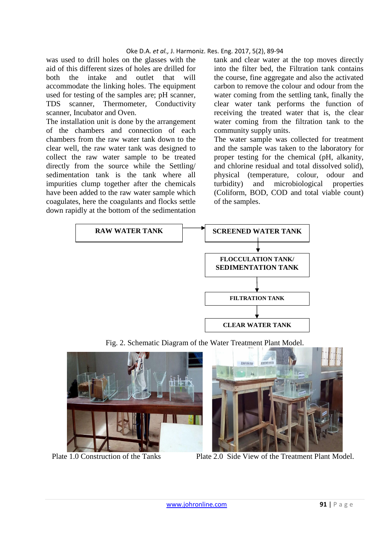#### Oke D.A. *et al.,* J. Harmoniz. Res. Eng. 2017, 5(2), 89-94

was used to drill holes on the glasses with the aid of this different sizes of holes are drilled for both the intake and outlet that will accommodate the linking holes. The equipment used for testing of the samples are; pH scanner, TDS scanner, Thermometer, Conductivity scanner, Incubator and Oven.

The installation unit is done by the arrangement of the chambers and connection of each chambers from the raw water tank down to the clear well, the raw water tank was designed to collect the raw water sample to be treated directly from the source while the Settling/ sedimentation tank is the tank where all impurities clump together after the chemicals have been added to the raw water sample which coagulates, here the coagulants and flocks settle down rapidly at the bottom of the sedimentation

tank and clear water at the top moves directly into the filter bed, the Filtration tank contains the course, fine aggregate and also the activated carbon to remove the colour and odour from the water coming from the settling tank, finally the clear water tank performs the function of receiving the treated water that is, the clear water coming from the filtration tank to the community supply units.

The water sample was collected for treatment and the sample was taken to the laboratory for proper testing for the chemical (pH, alkanity, and chlorine residual and total dissolved solid), physical (temperature, colour, odour and turbidity) and microbiological properties (Coliform, BOD, COD and total viable count) of the samples.



Fig. 2. Schematic Diagram of the Water Treatment Plant Model.



Plate 1.0 Construction of the Tanks Plate 2.0 Side View of the Treatment Plant Model.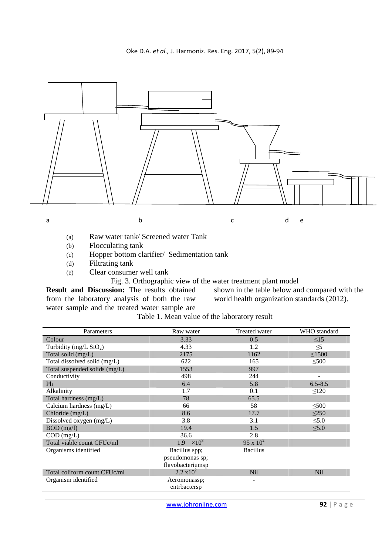

- (a) Raw water tank/ Screened water Tank
- (b) Flocculating tank
- (c) Hopper bottom clarifier/ Sedimentation tank
- (d) Filtrating tank
- (e) Clear consumer well tank

Fig. 3. Orthographic view of the water treatment plant model

**Result and Discussion:** The results obtained from the laboratory analysis of both the raw water sample and the treated water sample are

shown in the table below and compared with the world health organization standards (2012).

Table 1. Mean value of the laboratory result

| Parameters                    | Raw water           | Treated water   | WHO standard             |
|-------------------------------|---------------------|-----------------|--------------------------|
| Colour                        | 3.33                | 0.5             | $\leq$ 15                |
| Turbidity (mg/L $SiO2$ )      | 4.33                | 1.2             | $\leq$ 5                 |
| Total solid (mg/L)            | 2175                | 1162            | $\leq$ 1500              |
| Total dissolved solid (mg/L)  | 622                 | 165             | $\leq 500$               |
| Total suspended solids (mg/L) | 1553                | 997             |                          |
| Conductivity                  | 498                 | 244             | $\overline{\phantom{0}}$ |
| Ph                            | 6.4                 | 5.8             | $6.5 - 8.5$              |
| Alkalinity                    | 1.7                 | 0.1             | $\leq 120$               |
| Total hardness (mg/L)         | 78                  | 65.5            |                          |
| Calcium hardness (mg/L)       | 66                  | 58              | $\leq 500$               |
| Chloride (mg/L)               | 8.6                 | 17.7            | $\leq$ 250               |
| Dissolved oxygen (mg/L)       | 3.8                 | 3.1             | $\leq 5.0$               |
| $BOD$ (mg/l)                  | 19.4                | 1.5             | $\leq 5.0$               |
| $COD$ (mg/L)                  | 36.6                | 2.8             |                          |
| Total viable count CFUc/ml    | 1.9<br>$\times10^3$ | 95 x $10^2$     |                          |
| Organisms identified          | Bacillus spp;       | <b>Bacillus</b> |                          |
|                               | pseudomonas sp;     |                 |                          |
|                               | flavobacteriumsp    |                 |                          |
| Total coliform count CFUc/ml  | $2.2 \times 10^2$   | <b>Nil</b>      | <b>Nil</b>               |
| Organism identified           | Aeromonassp;        |                 |                          |
|                               | entrbactersp        |                 |                          |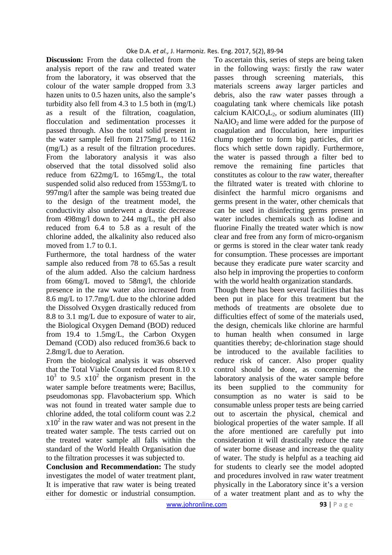**Discussion:** From the data collected from the analysis report of the raw and treated water from the laboratory, it was observed that the colour of the water sample dropped from 3.3 hazen units to 0.5 hazen units, also the sample's turbidity also fell from 4.3 to 1.5 both in (mg/L) as a result of the filtration, coagulation, flocculation and sedimentation processes it passed through. Also the total solid present in the water sample fell from 2175mg/L to 1162 (mg/L) as a result of the filtration procedures. From the laboratory analysis it was also observed that the total dissolved solid also reduce from 622mg/L to 165mg/L, the total suspended solid also reduced from 1553mg/L to 997mg/l after the sample was being treated due to the design of the treatment model, the conductivity also underwent a drastic decrease from 498mg/l down to 244 mg/L, the pH also reduced from 6.4 to 5.8 as a result of the chlorine added, the alkalinity also reduced also moved from 1.7 to 0.1.

Furthermore, the total hardness of the water sample also reduced from 78 to 65.5as a result of the alum added. Also the calcium hardness from 66mg/L moved to 58mg/l, the chloride presence in the raw water also increased from 8.6 mg/L to 17.7mg/L due to the chlorine added the Dissolved Oxygen drastically reduced from 8.8 to 3.1 mg/L due to exposure of water to air, the Biological Oxygen Demand (BOD) reduced from 19.4 to 1.5mg/L, the Carbon Oxygen Demand (COD) also reduced from36.6 back to 2.8mg/L due to Aeration.

From the biological analysis it was observed that the Total Viable Count reduced from 8.10 x  $10^3$  to 9.5  $x10^2$  the organism present in the water sample before treatments were; Bacillus, pseudomonas spp. Flavobacterium spp. Which was not found in treated water sample due to chlorine added, the total coliform count was 2.2  $x10<sup>2</sup>$  in the raw water and was not present in the treated water sample. The tests carried out on the treated water sample all falls within the standard of the World Health Organisation due to the filtration processes it was subjected to.

**Conclusion and Recommendation:** The study investigates the model of water treatment plant, It is imperative that raw water is being treated either for domestic or industrial consumption.

To ascertain this, series of steps are being taken in the following ways: firstly the raw water passes through screening materials, this materials screens away larger particles and debris, also the raw water passes through a coagulating tank where chemicals like potash calcium  $KAICO<sub>4</sub>L<sub>2</sub>$ , or sodium aluminates (III)  $NaAlO<sub>2</sub>$  and lime were added for the purpose of coagulation and flocculation, here impurities clump together to form big particles, dirt or flocs which settle down rapidly. Furthermore, the water is passed through a filter bed to remove the remaining fine particles that constitutes as colour to the raw water, thereafter the filtrated water is treated with chlorine to disinfect the harmful micro organisms and germs present in the water, other chemicals that can be used in disinfecting germs present in water includes chemicals such as Iodine and fluorine Finally the treated water which is now clear and free from any form of micro-organism or germs is stored in the clear water tank ready for consumption. These processes are important because they eradicate pure water scarcity and also help in improving the properties to conform with the world health organization standards.

Though there has been several facilities that has been put in place for this treatment but the methods of treatments are obsolete due to difficulties effect of some of the materials used, the design, chemicals like chlorine are harmful to human health when consumed in large quantities thereby; de-chlorination stage should be introduced to the available facilities to reduce risk of cancer. Also proper quality control should be done, as concerning the laboratory analysis of the water sample before its been supplied to the community for consumption as no water is said to be consumable unless proper tests are being carried out to ascertain the physical, chemical and biological properties of the water sample. If all the afore mentioned are carefully put into consideration it will drastically reduce the rate of water borne disease and increase the quality of water. The study is helpful as a teaching aid for students to clearly see the model adopted and procedures involved in raw water treatment physically in the Laboratory since it's a version of a water treatment plant and as to why the